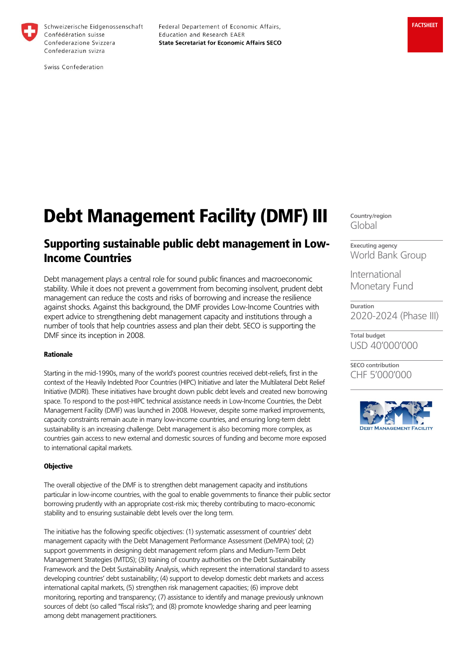

Schweizerische Eidgenossenschaft Confédération suisse Confederazione Svizzera Confederaziun svizra

Federal Departement of Economic Affairs, Education and Research EAER **State Secretariat for Economic Affairs SECO** 

Swiss Confederation

# Debt Management Facility (DMF) III

# Supporting sustainable public debt management in Low-Income Countries

Debt management plays a central role for sound public finances and macroeconomic stability. While it does not prevent a government from becoming insolvent, prudent debt management can reduce the costs and risks of borrowing and increase the resilience against shocks. Against this background, the DMF provides Low-Income Countries with expert advice to strengthening debt management capacity and institutions through a number of tools that help countries assess and plan their debt. SECO is supporting the DMF since its inception in 2008.

## Rationale

Starting in the mid-1990s, many of the world's poorest countries received debt-reliefs, first in the context of the Heavily Indebted Poor Countries (HIPC) Initiative and later the Multilateral Debt Relief Initiative (MDRI). These initiatives have brought down public debt levels and created new borrowing space. To respond to the post-HIPC technical assistance needs in Low-Income Countries, the Debt Management Facility (DMF) was launched in 2008. However, despite some marked improvements, capacity constraints remain acute in many low-income countries, and ensuring long-term debt sustainability is an increasing challenge. Debt management is also becoming more complex, as countries gain access to new external and domestic sources of funding and become more exposed to international capital markets.

#### **Objective**

The overall objective of the DMF is to strengthen debt management capacity and institutions particular in low-income countries, with the goal to enable governments to finance their public sector borrowing prudently with an appropriate cost-risk mix; thereby contributing to macro-economic stability and to ensuring sustainable debt levels over the long term.

The initiative has the following specific objectives: (1) systematic assessment of countries' debt management capacity with the Debt Management Performance Assessment (DeMPA) tool; (2) support governments in designing debt management reform plans and Medium-Term Debt Management Strategies (MTDS); (3) training of country authorities on the Debt Sustainability Framework and the Debt Sustainability Analysis, which represent the international standard to assess developing countries' debt sustainability; (4) support to develop domestic debt markets and access international capital markets, (5) strengthen risk management capacities; (6) improve debt monitoring, reporting and transparency; (7) assistance to identify and manage previously unknown sources of debt (so called "fiscal risks"); and (8) promote knowledge sharing and peer learning among debt management practitioners.

**Country/region** Global

**Executing agency** World Bank Group

International Monetary Fund

**Duration** 2020-2024 (Phase III)

**Total budget** USD 40'000'000

**SECO contribution** CHF 5'000'000